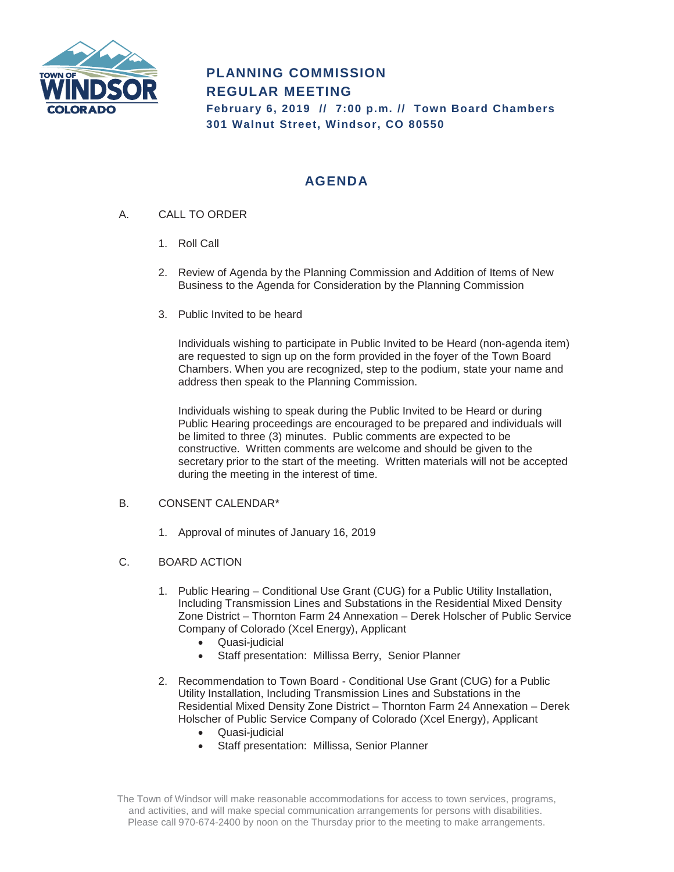

# **PLANNING COMMISSION REGULAR MEETING**

**February 6, 2019 // 7:00 p.m. // Town Board Chambers 301 Walnut Street, Windsor, CO 80550**

## **AGENDA**

- A. CALL TO ORDER
	- 1. Roll Call
	- 2. Review of Agenda by the Planning Commission and Addition of Items of New Business to the Agenda for Consideration by the Planning Commission
	- 3. Public Invited to be heard

Individuals wishing to participate in Public Invited to be Heard (non-agenda item) are requested to sign up on the form provided in the foyer of the Town Board Chambers. When you are recognized, step to the podium, state your name and address then speak to the Planning Commission.

Individuals wishing to speak during the Public Invited to be Heard or during Public Hearing proceedings are encouraged to be prepared and individuals will be limited to three (3) minutes. Public comments are expected to be constructive. Written comments are welcome and should be given to the secretary prior to the start of the meeting. Written materials will not be accepted during the meeting in the interest of time.

### B. CONSENT CALENDAR\*

- 1. Approval of minutes of January 16, 2019
- C. BOARD ACTION
	- 1. Public Hearing Conditional Use Grant (CUG) for a Public Utility Installation, Including Transmission Lines and Substations in the Residential Mixed Density Zone District – Thornton Farm 24 Annexation – Derek Holscher of Public Service Company of Colorado (Xcel Energy), Applicant
		- Quasi-judicial
		- Staff presentation: Millissa Berry, Senior Planner
	- 2. Recommendation to Town Board Conditional Use Grant (CUG) for a Public Utility Installation, Including Transmission Lines and Substations in the Residential Mixed Density Zone District – Thornton Farm 24 Annexation – Derek Holscher of Public Service Company of Colorado (Xcel Energy), Applicant
		- Quasi-judicial
		- Staff presentation: Millissa, Senior Planner

The Town of Windsor will make reasonable accommodations for access to town services, programs, and activities, and will make special communication arrangements for persons with disabilities. Please call 970-674-2400 by noon on the Thursday prior to the meeting to make arrangements.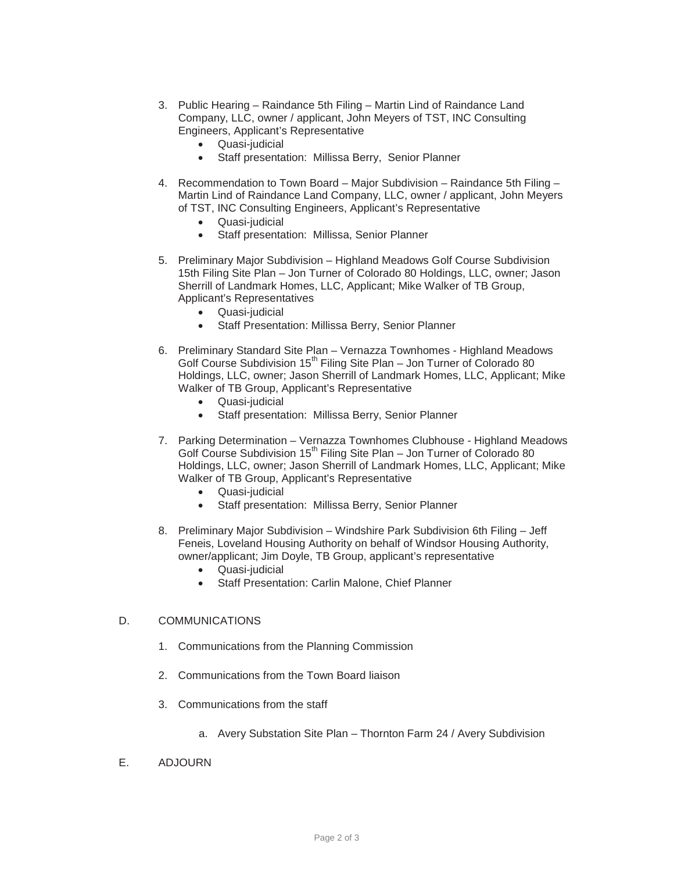- 3. Public Hearing Raindance 5th Filing Martin Lind of Raindance Land Company, LLC, owner / applicant, John Meyers of TST, INC Consulting Engineers, Applicant's Representative
	- Quasi-judicial
	- Staff presentation: Millissa Berry, Senior Planner
- 4. Recommendation to Town Board Major Subdivision Raindance 5th Filing Martin Lind of Raindance Land Company, LLC, owner / applicant, John Meyers of TST, INC Consulting Engineers, Applicant's Representative
	- Quasi-judicial
	- Staff presentation: Millissa, Senior Planner
- 5. Preliminary Major Subdivision Highland Meadows Golf Course Subdivision 15th Filing Site Plan – Jon Turner of Colorado 80 Holdings, LLC, owner; Jason Sherrill of Landmark Homes, LLC, Applicant; Mike Walker of TB Group, Applicant's Representatives
	- Quasi-judicial
	- Staff Presentation: Millissa Berry, Senior Planner
- 6. Preliminary Standard Site Plan Vernazza Townhomes Highland Meadows Golf Course Subdivision  $15<sup>th</sup>$  Filing Site Plan – Jon Turner of Colorado 80 Holdings, LLC, owner; Jason Sherrill of Landmark Homes, LLC, Applicant; Mike Walker of TB Group, Applicant's Representative
	- Quasi-judicial
	- Staff presentation: Millissa Berry, Senior Planner
- 7. Parking Determination Vernazza Townhomes Clubhouse Highland Meadows Golf Course Subdivision 15<sup>th</sup> Filing Site Plan - Jon Turner of Colorado 80 Holdings, LLC, owner; Jason Sherrill of Landmark Homes, LLC, Applicant; Mike Walker of TB Group, Applicant's Representative
	- Quasi-judicial
	- Staff presentation: Millissa Berry, Senior Planner
- 8. Preliminary Major Subdivision Windshire Park Subdivision 6th Filing Jeff Feneis, Loveland Housing Authority on behalf of Windsor Housing Authority, owner/applicant; Jim Doyle, TB Group, applicant's representative
	- Quasi-judicial
	- Staff Presentation: Carlin Malone, Chief Planner

#### D. COMMUNICATIONS

- 1. Communications from the Planning Commission
- 2. Communications from the Town Board liaison
- 3. Communications from the staff
	- a. Avery Substation Site Plan Thornton Farm 24 / Avery Subdivision
- E. ADJOURN